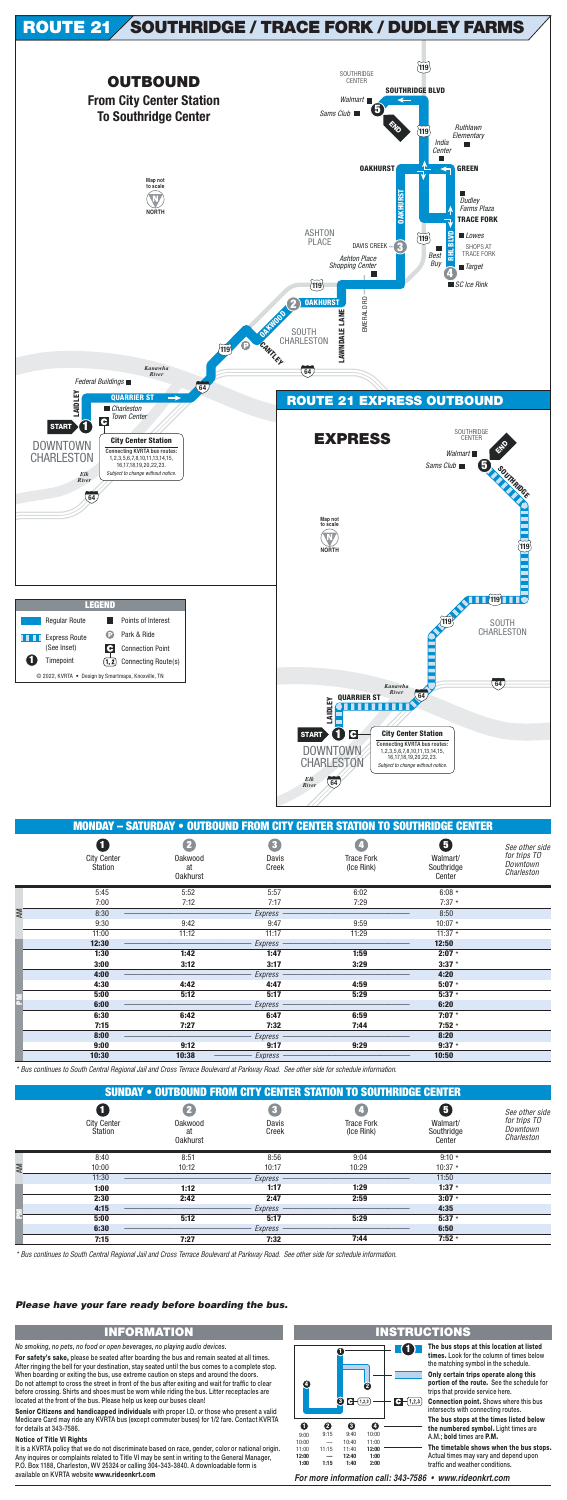

Subject to change without notice.

### **MONDAY - SATURDAY • OUTBOUND FROM CITY CENTER STATION TO SOUTHRIDGE CENTER**

Elk

River

 $\sqrt{64}$ 

|    | <b>City Center</b><br>Station | $\boldsymbol{2}$<br><b>Oakwood</b><br>at<br><b>Oakhurst</b> | 3<br>Davis<br>Creek | 4<br><b>Trace Fork</b><br>(Ice Rink) | 6<br>Walmart/<br>Southridge<br>Center | See other side<br>for trips TO<br>Downtown<br>Charleston |
|----|-------------------------------|-------------------------------------------------------------|---------------------|--------------------------------------|---------------------------------------|----------------------------------------------------------|
|    | 5:45                          | 5:52                                                        | 5:57                | 6:02                                 | $6:08 *$                              |                                                          |
|    | 7:00                          | 7:12                                                        | 7:17                | 7:29                                 | $7:37 *$                              |                                                          |
| ΜV | 8:30                          |                                                             | Express             |                                      | 8:50                                  |                                                          |
|    | 9:30                          | 9:42                                                        | 9:47                | 9:59                                 | $10:07*$                              |                                                          |
|    | 11:00                         | 11:12                                                       | 11:17               | 11:29                                | $11:37$ *                             |                                                          |
|    | 12:30                         |                                                             | Express             |                                      | 12:50                                 |                                                          |
|    | 1:30                          | 1:42                                                        | 1:47                | 1:59                                 | $2:07 *$                              |                                                          |
|    | 3:00                          | 3:12                                                        | 3:17                | 3:29                                 | $3:37 *$                              |                                                          |
|    | 4:00                          |                                                             | Express             |                                      | 4:20                                  |                                                          |
|    | 4:30                          | 4:42                                                        | 4:47                | 4:59                                 | $5:07 *$                              |                                                          |
|    | 5:00                          | 5:12                                                        | 5:17                | 5:29                                 | $5:37 *$                              |                                                          |
|    | 6:00                          |                                                             | Express             |                                      | 6:20                                  |                                                          |
|    | 6:30                          | 6:42                                                        | 6:47                | 6:59                                 | $7:07 *$                              |                                                          |
|    | 7:15                          | 7:27                                                        | 7:32                | 7:44                                 | $7:52*$                               |                                                          |
|    | 8:00                          |                                                             | Express             |                                      | 8:20                                  |                                                          |
|    | 9:00                          | 9:12                                                        | 9:17                | 9:29                                 | $9:37 *$                              |                                                          |
|    | 10:30                         | 10:38                                                       | <b>Express</b>      |                                      | 10:50                                 |                                                          |

\* Bus continues to South Central Regional Jail and Cross Terrace Boulevard at Parkway Road. See other side for schedule information.

| <b>SUNDAY • OUTBOUND FROM CITY CENTER STATION TO SOUTHRIDGE CENTER</b> |                                                        |                                                         |                     |                                 |                                       |                                                          |  |
|------------------------------------------------------------------------|--------------------------------------------------------|---------------------------------------------------------|---------------------|---------------------------------|---------------------------------------|----------------------------------------------------------|--|
|                                                                        | $\blacksquare$<br><b>City Center</b><br><b>Station</b> | $\mathbf{2}$<br><b>Oakwood</b><br>at<br><b>Oakhurst</b> | 3<br>Davis<br>Creek | <b>Trace Fork</b><br>(Ice Rink) | 6<br>Walmart/<br>Southridge<br>Center | See other side<br>for trips TO<br>Downtown<br>Charleston |  |
| AM                                                                     | 8:40<br>10:00                                          | 8:51<br>10:12                                           | 8:56<br>10:17       | 9:04<br>10:29                   | $9:10*$<br>$10:37*$                   |                                                          |  |
|                                                                        | 11:30                                                  |                                                         | Express             |                                 | 11:50                                 |                                                          |  |
|                                                                        | 1:00                                                   | 1:12                                                    | 1:17                | 1:29                            | $1:37 *$                              |                                                          |  |
|                                                                        | 2:30                                                   | 2:42                                                    | 2:47                | 2:59                            | $3:07*$                               |                                                          |  |
|                                                                        | 4:15                                                   |                                                         | Express             |                                 | 4:35                                  |                                                          |  |
|                                                                        | 5:00                                                   | 5:12                                                    | 5:17                | 5:29                            | $5:37*$                               |                                                          |  |
|                                                                        | 6:30                                                   |                                                         | Express             |                                 | 6:50                                  |                                                          |  |
|                                                                        | 7:15                                                   | 7:27                                                    | 7:32                | 7:44                            | $7:52*$                               |                                                          |  |

\* Bus continues to South Central Regional Jail and Cross Terrace Boulevard at Parkway Road. See other side for schedule information.

#### Please have your fare ready before boarding the bus.

## **INFORMATION**

No smoking, no pets, no food or open beverages, no playing audio devices.

For safety's sake, please be seated after boarding the bus and remain seated at all times. After ringing the bell for your destination, stay seated until the bus comes to a complete stop. When boarding or exiting the bus, use extreme caution on steps and around the doors. Do not attempt to cross the street in front of the bus after exiting and wait for traffic to clear before crossing. Shirts and shoes must be worn while riding the bus. Litter receptacles are located at the front of the bus. Please help us keep our buses clean!

Senior Citizens and handicapped individuals with proper I.D. or those who present a valid Medicare Card may ride any KVRTA bus (except commuter buses) for 1/2 fare. Contact KVRTA for details at 343-7586.

#### **Notice of Title VI Rights**

It is a KVRTA policy that we do not discriminate based on race, gender, color or national origin. Any inquires or complaints related to Title VI may be sent in writing to the General Manager, P.O. Box 1188, Charleston, WV 25324 or calling 304-343-3840. A downloadable form is available on KVRTA website www.rideonkrt.com



For more information call: 343-7586 • www.rideonkrt.com